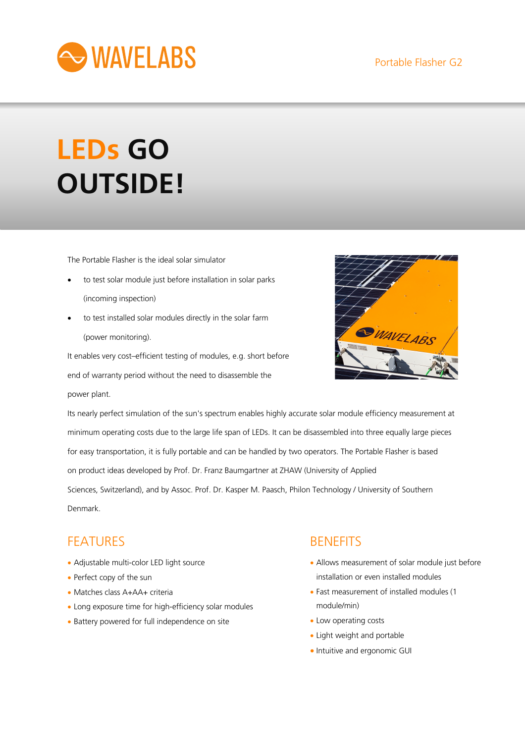

# **LEDs GO OUTSIDE!**

The Portable Flasher is the ideal solar simulator

- to test solar module just before installation in solar parks (incoming inspection)
- to test installed solar modules directly in the solar farm (power monitoring).

It enables very cost–efficient testing of modules, e.g. short before end of warranty period without the need to disassemble the power plant.



Its nearly perfect simulation of the sun's spectrum enables highly accurate solar module efficiency measurement at minimum operating costs due to the large life span of LEDs. It can be disassembled into three equally large pieces for easy transportation, it is fully portable and can be handled by two operators. The Portable Flasher is based on product ideas developed by Prof. Dr. Franz Baumgartner at ZHAW (University of Applied Sciences, Switzerland), and by Assoc. Prof. Dr. Kasper M. Paasch, Philon Technology / University of Southern Denmark.

## **FFATURES**

- Adjustable multi-color LED light source
- Perfect copy of the sun
- Matches class A+AA+ criteria
- Long exposure time for high-efficiency solar modules
- Battery powered for full independence on site

## **BENEFITS**

- Allows measurement of solar module just before installation or even installed modules
- Fast measurement of installed modules (1 module/min)
- Low operating costs
- Light weight and portable
- Intuitive and ergonomic GUI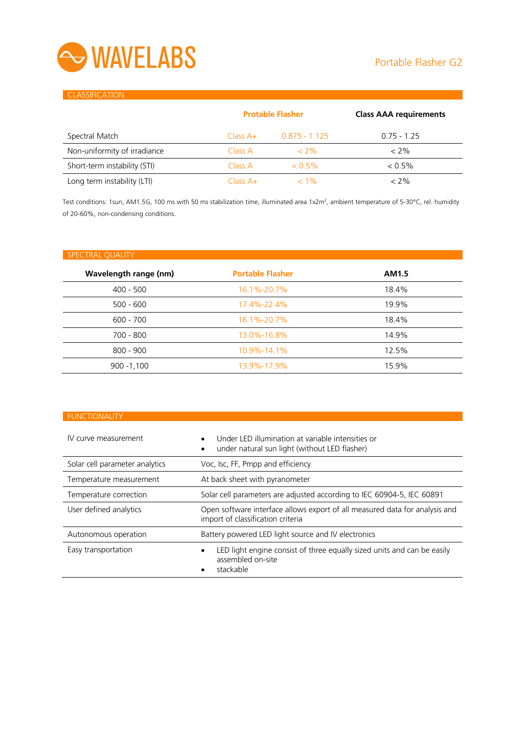

### **CLASSIFICATION**

|                              | <b>Protable Flasher</b> |                 | <b>Class AAA requirements</b> |
|------------------------------|-------------------------|-----------------|-------------------------------|
| Spectral Match               | $Class A+$              | $0.875 - 1.125$ | $0.75 - 1.25$                 |
| Non-uniformity of irradiance | Class A                 | $<$ 2%          | $< 2\%$                       |
| Short-term instability (STI) | Class A                 | $< 0.5\%$       | $< 0.5\%$                     |
| Long term instability (LTI)  | $Class A+$              | $< 1\%$         | $< 2\%$                       |

Test conditions: 1sun, AM1.5G, 100 ms with 50 ms stabilization time, illuminated area 1x2m<sup>2</sup>, ambient temperature of 5-30°C, rel. humidity of 20-60%, non-condensing conditions.

| <b>Portable Flasher</b> | AM1.5 |
|-------------------------|-------|
| 16.1%-20.7%             | 18.4% |
| 17.4%-22.4%             | 19.9% |
| 16.1%-20.7%             | 18.4% |
| 13.0%-16.8%             | 14.9% |
| 10.9%-14.1%             | 12.5% |
| 13.9%-17.9%             | 15.9% |
|                         |       |

### **FUNCTIONALITY**

| IV curve measurement           | Under LED illumination at variable intensities or<br>under natural sun light (without LED flasher)               |  |
|--------------------------------|------------------------------------------------------------------------------------------------------------------|--|
| Solar cell parameter analytics | Voc, Isc, FF, Pmpp and efficiency                                                                                |  |
| Temperature measurement        | At back sheet with pyranometer                                                                                   |  |
| Temperature correction         | Solar cell parameters are adjusted according to IEC 60904-5, IEC 60891                                           |  |
| User defined analytics         | Open software interface allows export of all measured data for analysis and<br>import of classification criteria |  |
| Autonomous operation           | Battery powered LED light source and IV electronics                                                              |  |
| Easy transportation            | LED light engine consist of three equally sized units and can be easily<br>assembled on-site<br>stackable        |  |